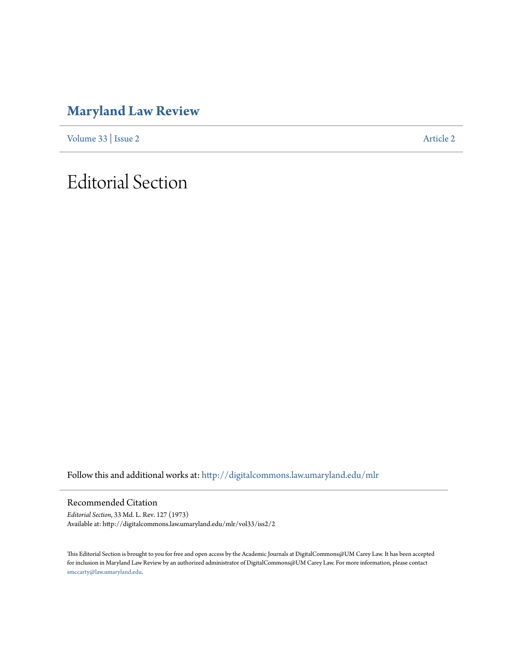### **[Maryland Law Review](http://digitalcommons.law.umaryland.edu/mlr?utm_source=digitalcommons.law.umaryland.edu%2Fmlr%2Fvol33%2Fiss2%2F2&utm_medium=PDF&utm_campaign=PDFCoverPages)**

[Volume 33](http://digitalcommons.law.umaryland.edu/mlr/vol33?utm_source=digitalcommons.law.umaryland.edu%2Fmlr%2Fvol33%2Fiss2%2F2&utm_medium=PDF&utm_campaign=PDFCoverPages) | [Issue 2](http://digitalcommons.law.umaryland.edu/mlr/vol33/iss2?utm_source=digitalcommons.law.umaryland.edu%2Fmlr%2Fvol33%2Fiss2%2F2&utm_medium=PDF&utm_campaign=PDFCoverPages) [Article 2](http://digitalcommons.law.umaryland.edu/mlr/vol33/iss2/2?utm_source=digitalcommons.law.umaryland.edu%2Fmlr%2Fvol33%2Fiss2%2F2&utm_medium=PDF&utm_campaign=PDFCoverPages)

## Editorial Section

Follow this and additional works at: [http://digitalcommons.law.umaryland.edu/mlr](http://digitalcommons.law.umaryland.edu/mlr?utm_source=digitalcommons.law.umaryland.edu%2Fmlr%2Fvol33%2Fiss2%2F2&utm_medium=PDF&utm_campaign=PDFCoverPages)

Recommended Citation

*Editorial Section*, 33 Md. L. Rev. 127 (1973) Available at: http://digitalcommons.law.umaryland.edu/mlr/vol33/iss2/2

This Editorial Section is brought to you for free and open access by the Academic Journals at DigitalCommons@UM Carey Law. It has been accepted for inclusion in Maryland Law Review by an authorized administrator of DigitalCommons@UM Carey Law. For more information, please contact [smccarty@law.umaryland.edu.](mailto:smccarty@law.umaryland.edu)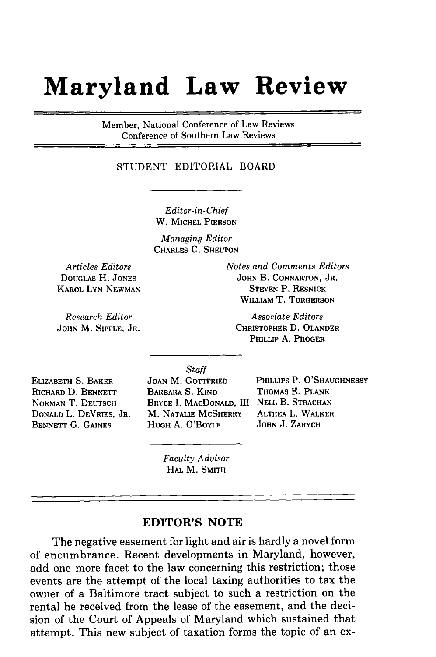# **Maryland Law Review**

Member, National Conference of Law Reviews Conference of Southern Law Reviews

### STUDENT EDITORIAL BOARD

*Editor-in-Chief* W. **MICHEL PIERSON**

*Managing Editor* CHARLES **C. SHELTON**

*Articles Editors* **DOUGLAS** H. **JONES KAROL LYN NEWMAN**

*Research Editor* **JOHN** M. SIPPLE, **JR.** *Notes and Comments Editors* **JOHN** B. **CONNARTON, JR. STEVEN** P. **RESNICK WILLIAM** T. **TORGERSON**

*Associate Editors* CHRISTOPHER D. **OLANDER** PHILLIP **A. PROGER**

*Staff*

**ELIZABETH S. BAKER** RICHARD D. BENNETT **NORMAN** T. **DEUTSCH DONALD** L. **DEVRIES, JR. BENNETT G. GAINES**

JOAN M. GOTTFRIED BARBARA S. **KIND BRYCE** I. **MACDONALD,** III **NELL** B. **STRACHAN** M. **NATALIE** MCSHERRY **HUGH** A. O'BOYLE

PHILLIPS P. **O'SHAUGHNESSY** THOMAS **E. PLANK ALTHEA** L. WALKER **JOHN J. ZARYCH**

*Faculty Advisor* HAL M. **SMITH**

### **EDITOR'S NOTE**

The negative easement for light and air is hardly a novel form of encumbrance. Recent developments in Maryland, however, add one more facet to the law concerning this restriction; those events are the attempt of the local taxing authorities to tax the owner of a Baltimore tract subject to such a restriction on the rental he received from the lease of the easement, and the decision of the Court of Appeals of Maryland which sustained that attempt. This new subject of taxation forms the topic of an ex